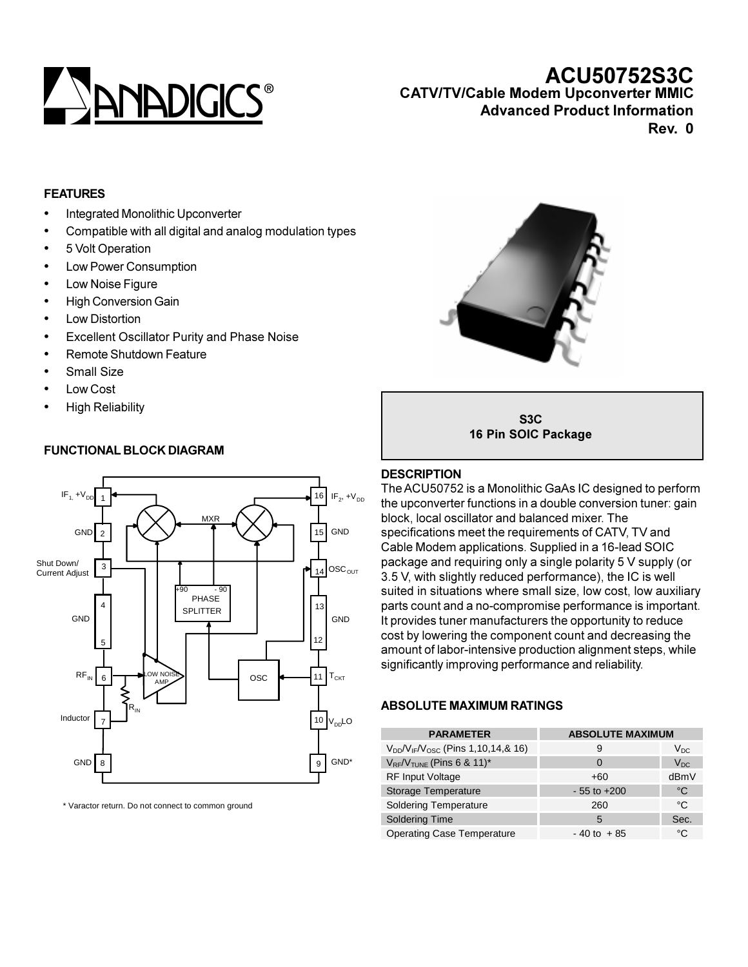

# **ACU50752S3C CATV/TV/Cable Modem Upconverter MMIC**

**Advanced Product Information**

**Rev. 0**

#### **FEATURES**

- Integrated Monolithic Upconverter
- Compatible with all digital and analog modulation types
- 5 Volt Operation
- Low Power Consumption
- Low Noise Figure
- High Conversion Gain
- Low Distortion
- Excellent Oscillator Purity and Phase Noise
- Remote Shutdown Feature
- Small Size
- Low Cost
- High Reliability

### **FUNCTIONAL BLOCK DIAGRAM**



\* Varactor return. Do not connect to common ground



**S3C 16 Pin SOIC Package**

#### **DESCRIPTION**

The ACU50752 is a Monolithic GaAs IC designed to perform the upconverter functions in a double conversion tuner: gain block, local oscillator and balanced mixer. The specifications meet the requirements of CATV, TV and Cable Modem applications. Supplied in a 16-lead SOIC package and requiring only a single polarity 5 V supply (or 3.5 V, with slightly reduced performance), the IC is well suited in situations where small size, low cost, low auxiliary parts count and a no-compromise performance is important. It provides tuner manufacturers the opportunity to reduce cost by lowering the component count and decreasing the amount of labor-intensive production alignment steps, while significantly improving performance and reliability.

#### **ABSOLUTE MAXIMUM RATINGS**

| <b>PARAMETER</b>                            | <b>ABSOLUTE MAXIMUM</b> |          |  |
|---------------------------------------------|-------------------------|----------|--|
| $V_{DD}/V_{IF}/V_{OSC}$ (Pins 1,10,14,& 16) | 9                       | $V_{DC}$ |  |
| $V_{RF}/V_{TUNE}$ (Pins 6 & 11)*            | $\Omega$                | $V_{DC}$ |  |
| <b>RF Input Voltage</b>                     | +60                     | dBmV     |  |
| Storage Temperature                         | $-55$ to $+200$         | °€       |  |
| <b>Soldering Temperature</b>                | 260                     | °C       |  |
| <b>Soldering Time</b>                       | 5                       | Sec.     |  |
| <b>Operating Case Temperature</b>           | $-40$ to $+85$          | °C       |  |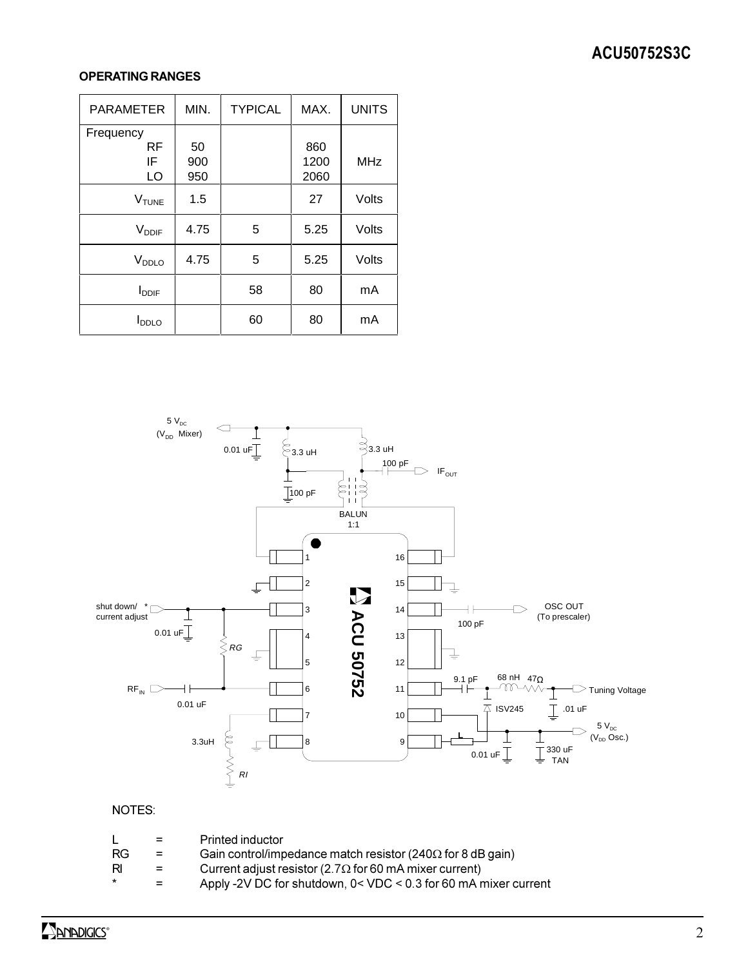## **ACU50752S3C**

## **OPERATING RANGES**

| <b>PARAMETER</b>         | MIN. | <b>TYPICAL</b> | MAX. | <b>UNITS</b> |
|--------------------------|------|----------------|------|--------------|
| Frequency                |      |                |      |              |
| RF                       | 50   |                | 860  |              |
| IF                       | 900  |                | 1200 | <b>MHz</b>   |
| LO                       | 950  |                | 2060 |              |
| <b>V<sub>TUNE</sub></b>  | 1.5  |                | 27   | Volts        |
| <b>V</b> <sub>DDIF</sub> | 4.75 | 5              | 5.25 | Volts        |
| V <sub>DDLO</sub>        | 4.75 | 5              | 5.25 | Volts        |
| <b>I</b> <sub>DDIF</sub> |      | 58             | 80   | mA           |
| <b>I</b> <sub>DDLO</sub> |      | 60             | 80   | mA           |



#### NOTES:

|         | $=$ | Printed inductor                                                     |
|---------|-----|----------------------------------------------------------------------|
| RG      | $=$ | Gain control/impedance match resistor (240 $\Omega$ for 8 dB gain)   |
| RI      | $=$ | Current adjust resistor (2.7 $\Omega$ for 60 mA mixer current)       |
| $\star$ | $=$ | Apply -2V DC for shutdown, $0 <$ VDC $<$ 0.3 for 60 mA mixer current |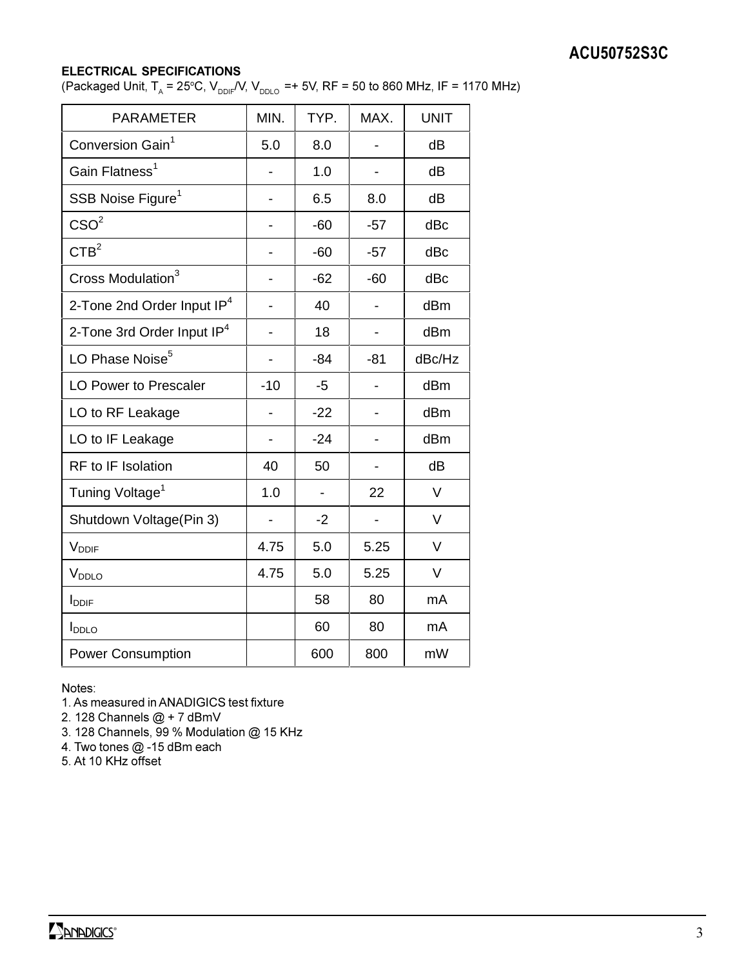## **ACU50752S3C**

#### **ELECTRICAL SPECIFICATIONS**

(Packaged Unit, T<sub>A</sub> = 25°C, V<sub>DDIF</sub>/V, V<sub>DDLO</sub> =+ 5V, RF = 50 to 860 MHz, IF = 1170 MHz)

| <b>PARAMETER</b>                       | MIN.  | TYP.  | MAX.                     | <b>UNIT</b> |
|----------------------------------------|-------|-------|--------------------------|-------------|
| Conversion Gain <sup>1</sup>           | 5.0   | 8.0   |                          | dB          |
| Gain Flatness <sup>1</sup>             |       | 1.0   |                          | dB          |
| SSB Noise Figure <sup>1</sup>          |       | 6.5   | 8.0                      | dB          |
| $\text{CSO}^2$                         |       | $-60$ | $-57$                    | dBc         |
| CTB <sup>2</sup>                       |       | $-60$ | $-57$                    | dBc         |
| Cross Modulation <sup>3</sup>          |       | $-62$ | $-60$                    | dBc         |
| 2-Tone 2nd Order Input IP <sup>4</sup> |       | 40    |                          | dBm         |
| 2-Tone 3rd Order Input IP <sup>4</sup> |       | 18    | -                        | dBm         |
| LO Phase Noise <sup>5</sup>            | -     | $-84$ | $-81$                    | dBc/Hz      |
| <b>LO Power to Prescaler</b>           | $-10$ | $-5$  |                          | dBm         |
| LO to RF Leakage                       |       | $-22$ |                          | dBm         |
| LO to IF Leakage                       |       | $-24$ |                          | dBm         |
| <b>RF</b> to IF Isolation              | 40    | 50    | $\overline{\phantom{0}}$ | dB          |
| Tuning Voltage <sup>1</sup>            | 1.0   |       | 22                       | V           |
| Shutdown Voltage(Pin 3)                |       | $-2$  |                          | V           |
| V <sub>DDIF</sub>                      | 4.75  | 5.0   | 5.25                     | V           |
| V <sub>DDLO</sub>                      | 4.75  | 5.0   | 5.25                     | V           |
| <b>I</b> <sub>DDIF</sub>               |       | 58    | 80                       | mA          |
| <b>I</b> <sub>DDLO</sub>               |       | 60    | 80                       | mA          |
| <b>Power Consumption</b>               |       | 600   | 800                      | mW          |

Notes:

1. As measured in ANADIGICS test fixture

2. 128 Channels @ + 7 dBmV

3. 128 Channels, 99 % Modulation @ 15 KHz

4. Two tones @ -15 dBm each

5. At 10 KHz offset